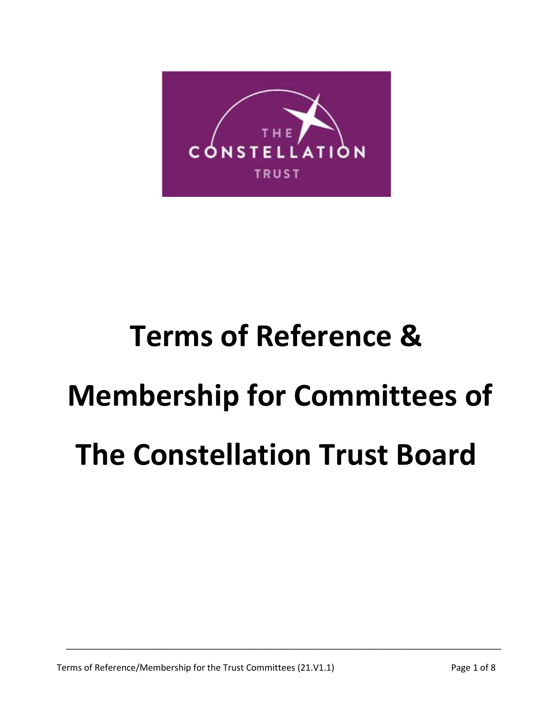

# **Terms of Reference & Membership for Committees of The Constellation Trust Board**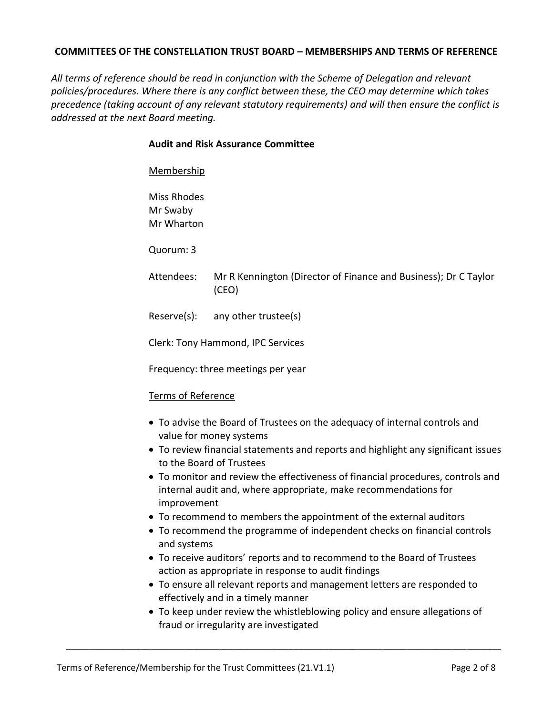## **COMMITTEES OF THE CONSTELLATION TRUST BOARD – MEMBERSHIPS AND TERMS OF REFERENCE**

*All terms of reference should be read in conjunction with the Scheme of Delegation and relevant policies/procedures. Where there is any conflict between these, the CEO may determine which takes precedence (taking account of any relevant statutory requirements) and will then ensure the conflict is addressed at the next Board meeting.* 

## **Audit and Risk Assurance Committee**

## Membership

Miss Rhodes Mr Swaby Mr Wharton

Quorum: 3

Attendees: Mr R Kennington (Director of Finance and Business); Dr C Taylor (CEO)

Reserve(s): any other trustee(s)

Clerk: Tony Hammond, IPC Services

Frequency: three meetings per year

## Terms of Reference

- To advise the Board of Trustees on the adequacy of internal controls and value for money systems
- To review financial statements and reports and highlight any significant issues to the Board of Trustees
- To monitor and review the effectiveness of financial procedures, controls and internal audit and, where appropriate, make recommendations for improvement
- To recommend to members the appointment of the external auditors
- To recommend the programme of independent checks on financial controls and systems
- To receive auditors' reports and to recommend to the Board of Trustees action as appropriate in response to audit findings
- To ensure all relevant reports and management letters are responded to effectively and in a timely manner
- To keep under review the whistleblowing policy and ensure allegations of fraud or irregularity are investigated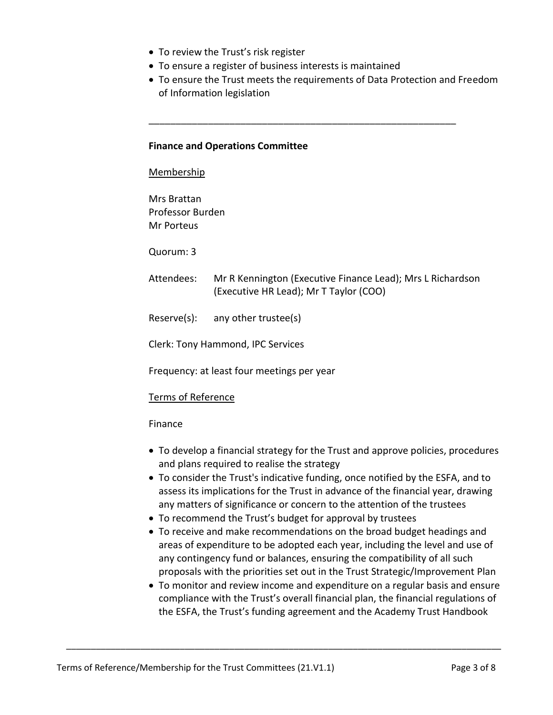- To review the Trust's risk register
- To ensure a register of business interests is maintained
- To ensure the Trust meets the requirements of Data Protection and Freedom of Information legislation

\_\_\_\_\_\_\_\_\_\_\_\_\_\_\_\_\_\_\_\_\_\_\_\_\_\_\_\_\_\_\_\_\_\_\_\_\_\_\_\_\_\_\_\_\_\_\_\_\_\_\_\_\_\_\_\_\_

## **Finance and Operations Committee**

#### Membership

Mrs Brattan Professor Burden Mr Porteus

Quorum: 3

- Attendees: Mr R Kennington (Executive Finance Lead); Mrs L Richardson (Executive HR Lead); Mr T Taylor (COO)
- Reserve(s): any other trustee(s)

Clerk: Tony Hammond, IPC Services

Frequency: at least four meetings per year

## Terms of Reference

## Finance

- To develop a financial strategy for the Trust and approve policies, procedures and plans required to realise the strategy
- To consider the Trust's indicative funding, once notified by the ESFA, and to assess its implications for the Trust in advance of the financial year, drawing any matters of significance or concern to the attention of the trustees
- To recommend the Trust's budget for approval by trustees

- To receive and make recommendations on the broad budget headings and areas of expenditure to be adopted each year, including the level and use of any contingency fund or balances, ensuring the compatibility of all such proposals with the priorities set out in the Trust Strategic/Improvement Plan
- To monitor and review income and expenditure on a regular basis and ensure compliance with the Trust's overall financial plan, the financial regulations of the ESFA, the Trust's funding agreement and the Academy Trust Handbook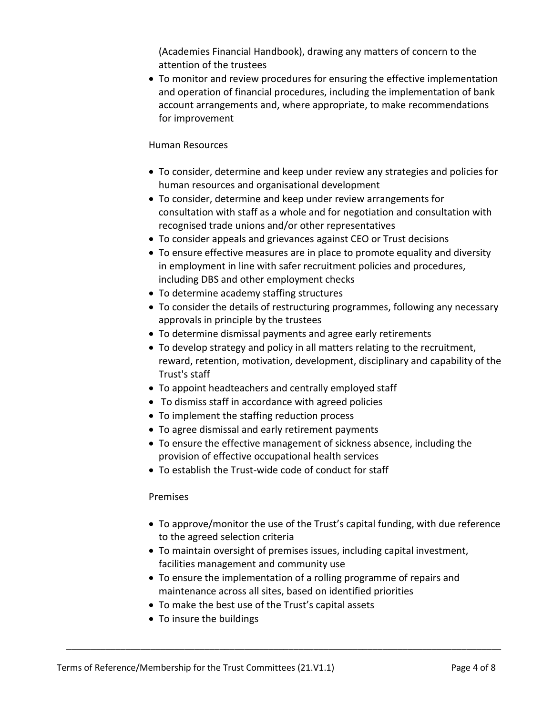(Academies Financial Handbook), drawing any matters of concern to the attention of the trustees

 To monitor and review procedures for ensuring the effective implementation and operation of financial procedures, including the implementation of bank account arrangements and, where appropriate, to make recommendations for improvement

# Human Resources

- To consider, determine and keep under review any strategies and policies for human resources and organisational development
- To consider, determine and keep under review arrangements for consultation with staff as a whole and for negotiation and consultation with recognised trade unions and/or other representatives
- To consider appeals and grievances against CEO or Trust decisions
- To ensure effective measures are in place to promote equality and diversity in employment in line with safer recruitment policies and procedures, including DBS and other employment checks
- To determine academy staffing structures
- To consider the details of restructuring programmes, following any necessary approvals in principle by the trustees
- To determine dismissal payments and agree early retirements
- To develop strategy and policy in all matters relating to the recruitment, reward, retention, motivation, development, disciplinary and capability of the Trust's staff
- To appoint headteachers and centrally employed staff
- To dismiss staff in accordance with agreed policies
- To implement the staffing reduction process
- To agree dismissal and early retirement payments
- To ensure the effective management of sickness absence, including the provision of effective occupational health services
- To establish the Trust-wide code of conduct for staff

# Premises

- To approve/monitor the use of the Trust's capital funding, with due reference to the agreed selection criteria
- To maintain oversight of premises issues, including capital investment, facilities management and community use
- To ensure the implementation of a rolling programme of repairs and maintenance across all sites, based on identified priorities
- To make the best use of the Trust's capital assets

\_\_\_\_\_\_\_\_\_\_\_\_\_\_\_\_\_\_\_\_\_\_\_\_\_\_\_\_\_\_\_\_\_\_\_\_\_\_\_\_\_\_\_\_\_\_\_\_\_\_\_\_\_\_\_\_\_\_\_\_\_\_\_\_\_\_\_\_\_\_\_\_\_\_\_\_\_\_\_\_\_\_\_\_\_\_\_\_

• To insure the buildings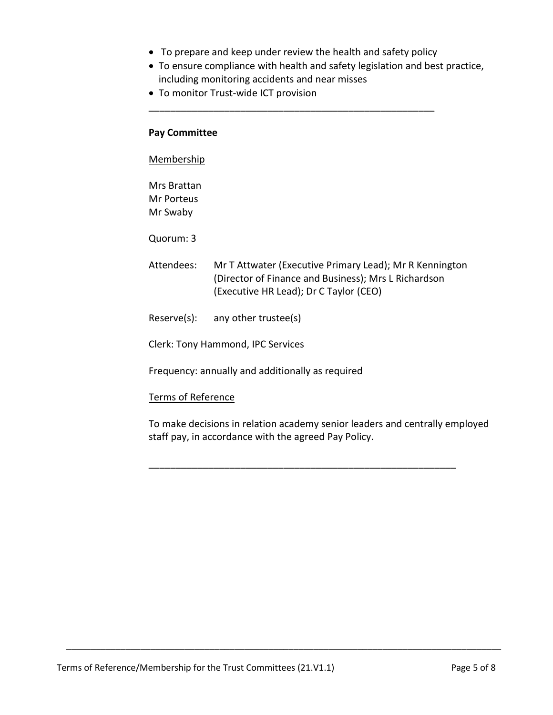To prepare and keep under review the health and safety policy

\_\_\_\_\_\_\_\_\_\_\_\_\_\_\_\_\_\_\_\_\_\_\_\_\_\_\_\_\_\_\_\_\_\_\_\_\_\_\_\_\_\_\_\_\_\_\_\_\_\_\_\_\_

- To ensure compliance with health and safety legislation and best practice, including monitoring accidents and near misses
- To monitor Trust-wide ICT provision

## **Pay Committee**

## Membership

Mrs Brattan Mr Porteus Mr Swaby

Quorum: 3

- Attendees: Mr T Attwater (Executive Primary Lead); Mr R Kennington (Director of Finance and Business); Mrs L Richardson (Executive HR Lead); Dr C Taylor (CEO)
- Reserve(s): any other trustee(s)
- Clerk: Tony Hammond, IPC Services

Frequency: annually and additionally as required

# Terms of Reference

To make decisions in relation academy senior leaders and centrally employed staff pay, in accordance with the agreed Pay Policy.

\_\_\_\_\_\_\_\_\_\_\_\_\_\_\_\_\_\_\_\_\_\_\_\_\_\_\_\_\_\_\_\_\_\_\_\_\_\_\_\_\_\_\_\_\_\_\_\_\_\_\_\_\_\_\_\_\_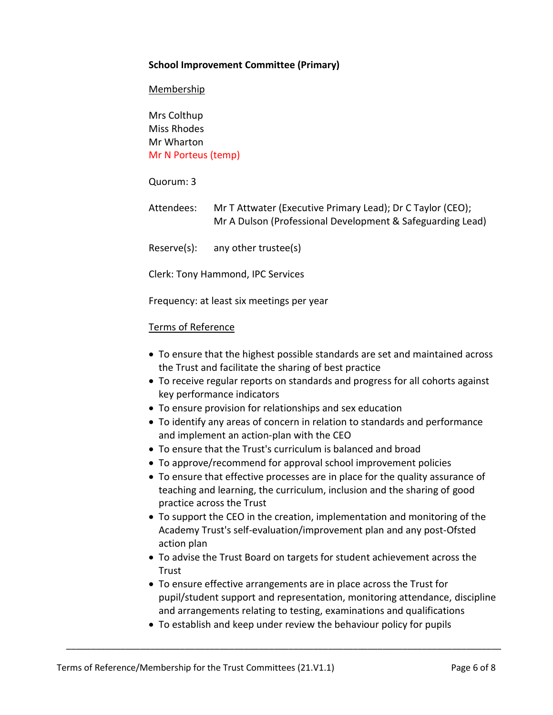# **School Improvement Committee (Primary)**

## **Membership**

Mrs Colthup Miss Rhodes Mr Wharton Mr N Porteus (temp)

Quorum: 3

Attendees: Mr T Attwater (Executive Primary Lead); Dr C Taylor (CEO); Mr A Dulson (Professional Development & Safeguarding Lead)

Reserve(s): any other trustee(s)

Clerk: Tony Hammond, IPC Services

Frequency: at least six meetings per year

## Terms of Reference

- To ensure that the highest possible standards are set and maintained across the Trust and facilitate the sharing of best practice
- To receive regular reports on standards and progress for all cohorts against key performance indicators
- To ensure provision for relationships and sex education
- To identify any areas of concern in relation to standards and performance and implement an action-plan with the CEO
- To ensure that the Trust's curriculum is balanced and broad
- To approve/recommend for approval school improvement policies
- To ensure that effective processes are in place for the quality assurance of teaching and learning, the curriculum, inclusion and the sharing of good practice across the Trust
- To support the CEO in the creation, implementation and monitoring of the Academy Trust's self-evaluation/improvement plan and any post-Ofsted action plan
- To advise the Trust Board on targets for student achievement across the Trust
- To ensure effective arrangements are in place across the Trust for pupil/student support and representation, monitoring attendance, discipline and arrangements relating to testing, examinations and qualifications
- To establish and keep under review the behaviour policy for pupils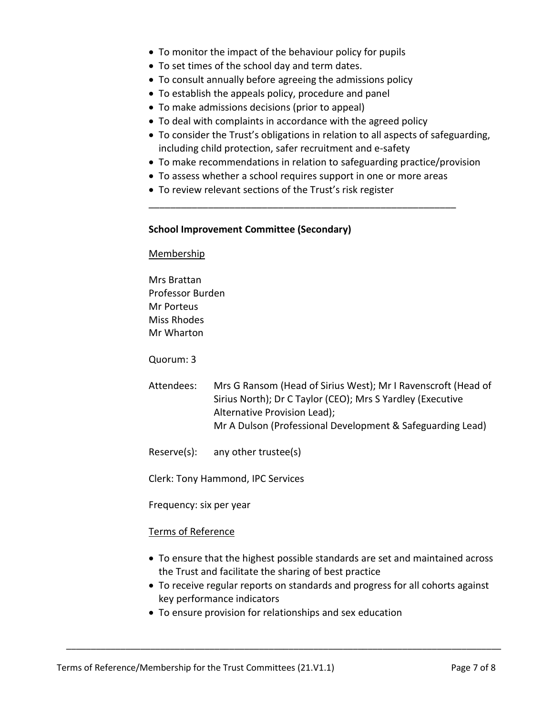- To monitor the impact of the behaviour policy for pupils
- To set times of the school day and term dates.
- To consult annually before agreeing the admissions policy
- To establish the appeals policy, procedure and panel
- To make admissions decisions (prior to appeal)
- To deal with complaints in accordance with the agreed policy
- To consider the Trust's obligations in relation to all aspects of safeguarding, including child protection, safer recruitment and e-safety
- To make recommendations in relation to safeguarding practice/provision
- To assess whether a school requires support in one or more areas

\_\_\_\_\_\_\_\_\_\_\_\_\_\_\_\_\_\_\_\_\_\_\_\_\_\_\_\_\_\_\_\_\_\_\_\_\_\_\_\_\_\_\_\_\_\_\_\_\_\_\_\_\_\_\_\_\_

To review relevant sections of the Trust's risk register

## **School Improvement Committee (Secondary)**

#### Membership

Mrs Brattan Professor Burden Mr Porteus Miss Rhodes Mr Wharton

Quorum: 3

- Attendees: Mrs G Ransom (Head of Sirius West); Mr I Ravenscroft (Head of Sirius North); Dr C Taylor (CEO); Mrs S Yardley (Executive Alternative Provision Lead); Mr A Dulson (Professional Development & Safeguarding Lead)
- Reserve(s): any other trustee(s)

Clerk: Tony Hammond, IPC Services

Frequency: six per year

## Terms of Reference

- To ensure that the highest possible standards are set and maintained across the Trust and facilitate the sharing of best practice
- To receive regular reports on standards and progress for all cohorts against key performance indicators
- To ensure provision for relationships and sex education